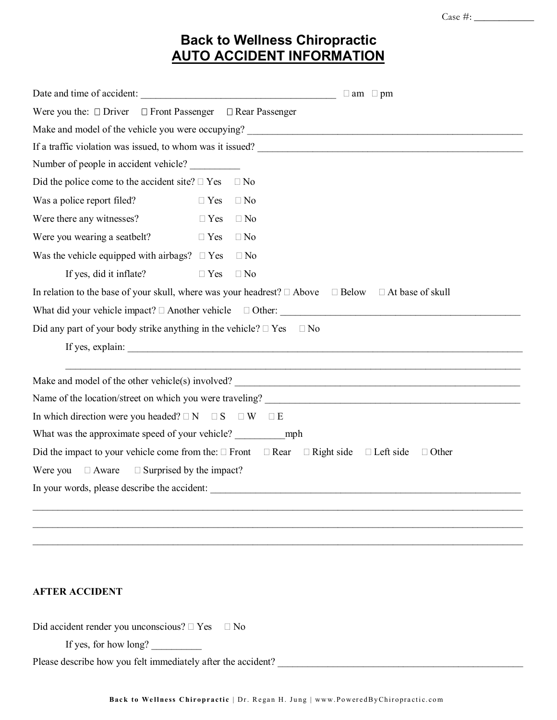## **Back to Wellness Chiropractic AUTO ACCIDENT INFORMATION**

| Date and time of accident: $\Box$                                                                                         |                         |  |  |  |  |  |  |
|---------------------------------------------------------------------------------------------------------------------------|-------------------------|--|--|--|--|--|--|
| Were you the: $\Box$ Driver $\Box$ Front Passenger $\Box$ Rear Passenger                                                  |                         |  |  |  |  |  |  |
|                                                                                                                           |                         |  |  |  |  |  |  |
|                                                                                                                           |                         |  |  |  |  |  |  |
| Number of people in accident vehicle?                                                                                     |                         |  |  |  |  |  |  |
| Did the police come to the accident site? $\Box$ Yes                                                                      | $\Box$ No               |  |  |  |  |  |  |
| Was a police report filed?                                                                                                | $\Box$ No<br>$\Box$ Yes |  |  |  |  |  |  |
| Were there any witnesses?                                                                                                 | $\Box$ Yes<br>$\Box$ No |  |  |  |  |  |  |
| Were you wearing a seatbelt?                                                                                              | $\Box$ No<br>$\Box$ Yes |  |  |  |  |  |  |
| Was the vehicle equipped with airbags? $\square$ Yes                                                                      | $\Box$ No               |  |  |  |  |  |  |
| If yes, did it inflate?                                                                                                   | $\Box$ Yes<br>$\Box$ No |  |  |  |  |  |  |
| In relation to the base of your skull, where was your headrest? $\Box$ Above $\Box$ Below $\Box$ At base of skull         |                         |  |  |  |  |  |  |
| What did your vehicle impact? $\Box$ Another vehicle $\Box$ Other:                                                        |                         |  |  |  |  |  |  |
| Did any part of your body strike anything in the vehicle? $\Box$ Yes $\Box$ No                                            |                         |  |  |  |  |  |  |
| If yes, explain:                                                                                                          |                         |  |  |  |  |  |  |
|                                                                                                                           |                         |  |  |  |  |  |  |
| Make and model of the other vehicle(s) involved?                                                                          |                         |  |  |  |  |  |  |
| Name of the location/street on which you were traveling?                                                                  |                         |  |  |  |  |  |  |
| In which direction were you headed? $\Box N$ $\Box S$ $\Box W$ $\Box E$                                                   |                         |  |  |  |  |  |  |
| What was the approximate speed of your vehicle? mph                                                                       |                         |  |  |  |  |  |  |
| Did the impact to your vehicle come from the: $\Box$ Front $\Box$ Rear $\Box$ Right side $\Box$ Left side<br>$\Box$ Other |                         |  |  |  |  |  |  |
| Were you $\Box$ Aware<br>$\Box$ Surprised by the impact?                                                                  |                         |  |  |  |  |  |  |
| In your words, please describe the accident:                                                                              |                         |  |  |  |  |  |  |
|                                                                                                                           |                         |  |  |  |  |  |  |
|                                                                                                                           |                         |  |  |  |  |  |  |

## **AFTER ACCIDENT**

Did accident render you unconscious?  $\Box$  Yes  $\Box$  No

If yes, for how long?

Please describe how you felt immediately after the accident? \_\_\_\_\_\_\_\_\_\_\_\_\_\_\_\_\_\_\_\_\_\_\_\_\_\_\_\_\_\_\_\_\_\_\_\_\_\_\_\_\_\_\_\_\_\_\_\_\_

 $\mathcal{L}_\mathcal{L} = \mathcal{L}_\mathcal{L} = \mathcal{L}_\mathcal{L} = \mathcal{L}_\mathcal{L} = \mathcal{L}_\mathcal{L} = \mathcal{L}_\mathcal{L} = \mathcal{L}_\mathcal{L} = \mathcal{L}_\mathcal{L} = \mathcal{L}_\mathcal{L} = \mathcal{L}_\mathcal{L} = \mathcal{L}_\mathcal{L} = \mathcal{L}_\mathcal{L} = \mathcal{L}_\mathcal{L} = \mathcal{L}_\mathcal{L} = \mathcal{L}_\mathcal{L} = \mathcal{L}_\mathcal{L} = \mathcal{L}_\mathcal{L}$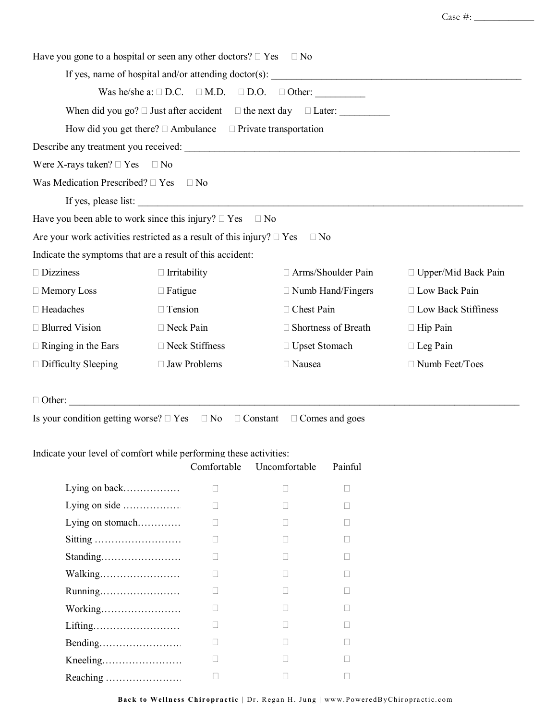| Have you gone to a hospital or seen any other doctors? $\Box$ Yes $\Box$ No |                     |             |                                                                 |                            |                            |
|-----------------------------------------------------------------------------|---------------------|-------------|-----------------------------------------------------------------|----------------------------|----------------------------|
|                                                                             |                     |             |                                                                 |                            |                            |
|                                                                             |                     |             | Was he/she a: $\Box$ D.C. $\Box$ M.D. $\Box$ D.O. $\Box$ Other: |                            |                            |
|                                                                             |                     |             |                                                                 |                            |                            |
| How did you get there? $\Box$ Ambulance $\Box$ Private transportation       |                     |             |                                                                 |                            |                            |
|                                                                             |                     |             |                                                                 |                            |                            |
| Were X-rays taken? $\Box$ Yes $\Box$ No                                     |                     |             |                                                                 |                            |                            |
| Was Medication Prescribed? $\Box$ Yes                                       | $\Box$ No           |             |                                                                 |                            |                            |
| If yes, please list:                                                        |                     |             |                                                                 |                            |                            |
| Have you been able to work since this injury? $\Box$ Yes $\Box$ No          |                     |             |                                                                 |                            |                            |
| Are your work activities restricted as a result of this injury? $\Box$ Yes  |                     |             |                                                                 | $\Box$ No                  |                            |
| Indicate the symptoms that are a result of this accident:                   |                     |             |                                                                 |                            |                            |
| $\Box$ Dizziness                                                            | $\Box$ Irritability |             |                                                                 | □ Arms/Shoulder Pain       | $\Box$ Upper/Mid Back Pain |
| $\Box$ Memory Loss                                                          | $\Box$ Fatigue      |             |                                                                 | $\Box$ Numb Hand/Fingers   | □ Low Back Pain            |
| □ Headaches                                                                 | $\Box$ Tension      |             | □ Chest Pain                                                    |                            | □ Low Back Stiffiness      |
| □ Blurred Vision                                                            | $\Box$ Neck Pain    |             |                                                                 | $\Box$ Shortness of Breath | $\Box$ Hip Pain            |
| $\Box$ Ringing in the Ears                                                  | □ Neck Stiffness    |             | □ Upset Stomach                                                 |                            | $\Box$ Leg Pain            |
| $\Box$ Difficulty Sleeping                                                  | □ Jaw Problems      |             | □ Nausea                                                        |                            | □ Numb Feet/Toes           |
|                                                                             |                     |             |                                                                 |                            |                            |
| $\Box$ Other:                                                               |                     |             |                                                                 |                            |                            |
| Is your condition getting worse? $\Box$ Yes $\Box$ No $\Box$ Constant       |                     |             |                                                                 | $\Box$ Comes and goes      |                            |
|                                                                             |                     |             |                                                                 |                            |                            |
| Indicate your level of comfort while performing these activities:           |                     |             |                                                                 |                            |                            |
|                                                                             |                     | Comfortable | Uncomfortable                                                   | Painful                    |                            |
| Lying on back                                                               |                     | П           | $\Box$                                                          | $\Box$                     |                            |
| Lying on side                                                               |                     | П           | $\mathbf{L}$                                                    | $\mathbf{L}$               |                            |
| Lying on stomach                                                            |                     | П           | П                                                               | П                          |                            |
| Sitting                                                                     |                     | П           | П                                                               | П                          |                            |
| Standing                                                                    |                     | П           |                                                                 |                            |                            |
| Walking                                                                     |                     | П           | $\mathbf{L}$                                                    | $\mathbf{L}$               |                            |
| Running                                                                     |                     | П           | П                                                               | П                          |                            |
| Working                                                                     |                     | $\Box$      | П                                                               | П                          |                            |

 $\Box$  and  $\Box$  and  $\Box$  and  $\Box$ 

  $\begin{array}{ccc} \square & \square & \square & \square \end{array}$  $\Box$  and  $\Box$  and  $\Box$ 

Lifting…………………………………….……. Bending…………………………………□ Kneeling……………………………………….. Reaching ………………………………………□